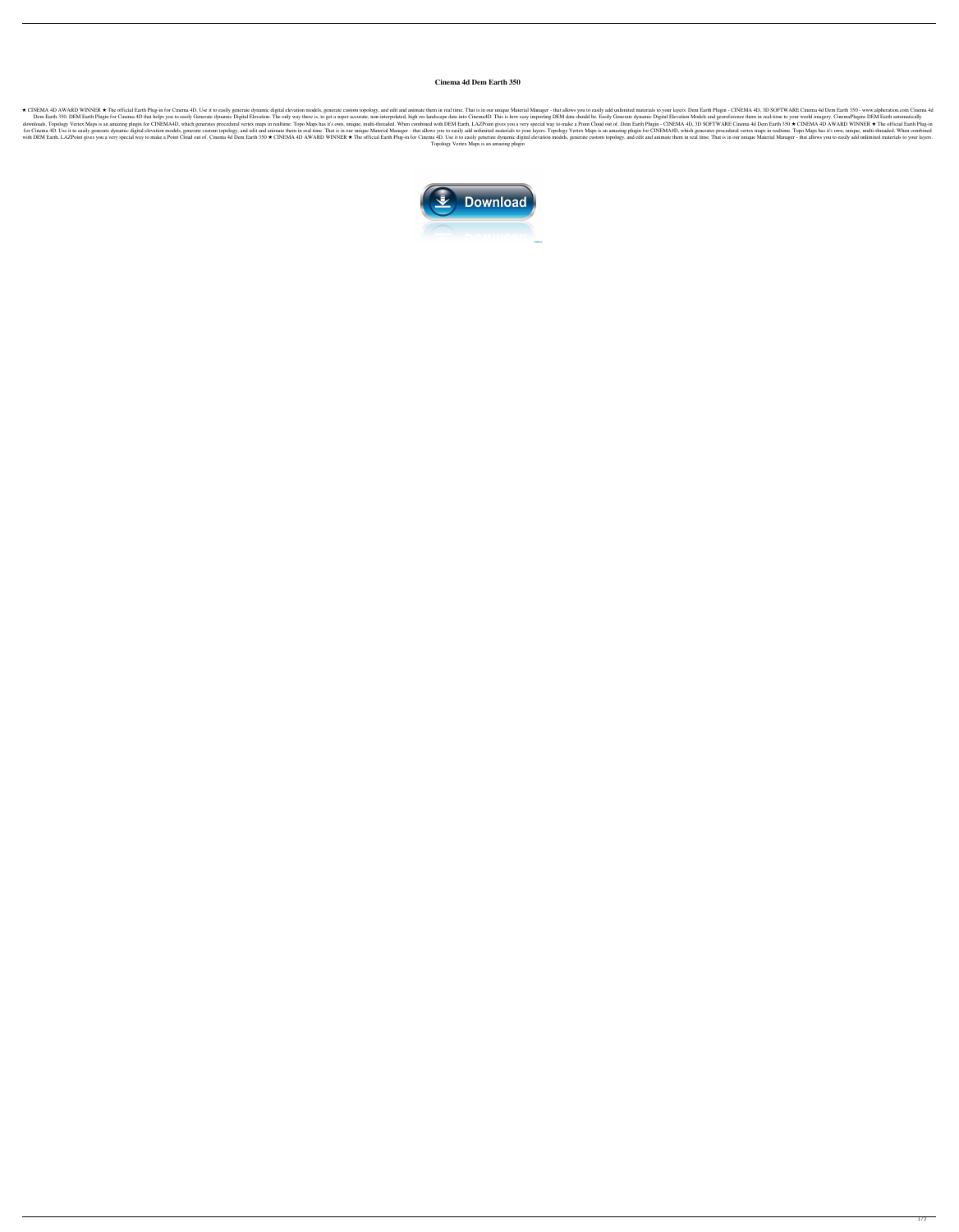## **Cinema 4d Dem Earth 350**

\* CINEMA 4D AWARD WINNER \* The official Earth Plug-in for Cinema 4D. Use it to easily generate dynamic digital elevation models, generate custom topology, and edit and animate them in real time. That is in our unique Mater Dem Earth 350. DEM Earth Plugin for Cinema 4D that helps you to easily Generate dynamic Digital Elevation. The only way there is, to get a super accurate, non-interpolated, high res landscape data into Cinema4D. This is ho downloads. Topology Vertex Maps is an amazing plugin for CINEMA4D, which generates procedural vertex maps in realtime. Topo Maps has it's own, unique, multi-threaded. When combined with DEM Earth Plugin - CINEMA 4D, 3D SO for Cinema 4D. Use it to easily generate dynamic digital elevation models, generate custom topology, and edit and animate them in real time. That is in our unique Material Manager - that allows you to easily add unlimited with DEM Earth, LAZPoint gives you a very special way to make a Point Cloud out of. Cinema 4d Dem Earth 350 ★ CINEMA 4D AWARD WINNER ★ The official Earth Plug-in for Cinema 4D. Use it to easily generate custom topology, a Topology Vertex Maps is an amazing plugin